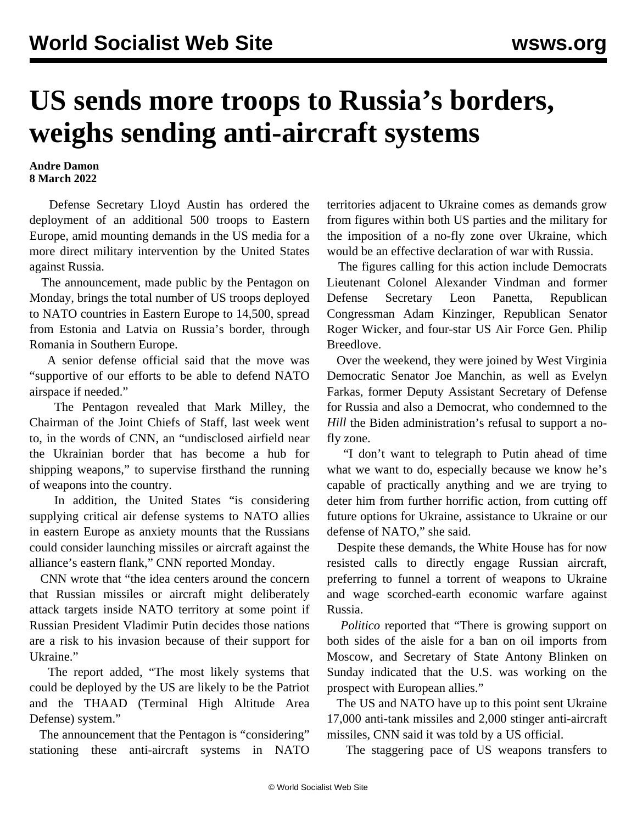## **US sends more troops to Russia's borders, weighs sending anti-aircraft systems**

## **Andre Damon 8 March 2022**

 Defense Secretary Lloyd Austin has ordered the deployment of an additional 500 troops to Eastern Europe, amid mounting demands in the US media for a more direct military intervention by the United States against Russia.

 The announcement, made public by the Pentagon on Monday, brings the total number of US troops deployed to NATO countries in Eastern Europe to 14,500, spread from Estonia and Latvia on Russia's border, through Romania in Southern Europe.

 A senior defense official said that the move was "supportive of our efforts to be able to defend NATO airspace if needed."

 The Pentagon revealed that Mark Milley, the Chairman of the Joint Chiefs of Staff, last week went to, in the words of [CNN,](https://www.cnn.com/2022/03/06/politics/mark-milley-ukraine-military-assistance/index.html) an "undisclosed airfield near the Ukrainian border that has become a hub for shipping weapons," to supervise firsthand the running of weapons into the country.

 In addition, the United States "is considering supplying critical air defense systems to NATO allies in eastern Europe as anxiety mounts that the Russians could consider launching missiles or aircraft against the alliance's eastern flank," CNN [reported](https://www.cnn.com/europe/live-news/ukraine-russia-putin-news-03-07-22/h_ba7bbf58812c9392e1967f9bb49db68e) Monday.

 CNN wrote that "the idea centers around the concern that Russian missiles or aircraft might deliberately attack targets inside NATO territory at some point if Russian President Vladimir Putin decides those nations are a risk to his invasion because of their support for Ukraine."

 The report added, "The most likely systems that could be deployed by the US are likely to be the Patriot and the THAAD (Terminal High Altitude Area Defense) system."

 The announcement that the Pentagon is "considering" stationing these anti-aircraft systems in NATO territories adjacent to Ukraine comes as demands grow from figures within both US parties and the military for the imposition of a no-fly zone over Ukraine, which would be an effective declaration of war with Russia.

 The figures calling for this action include Democrats Lieutenant Colonel Alexander Vindman and former Defense Secretary Leon Panetta, Republican Congressman Adam Kinzinger, Republican Senator Roger Wicker, and four-star US Air Force Gen. Philip Breedlove.

 Over the weekend, they were joined by West Virginia Democratic Senator Joe Manchin, as well as Evelyn Farkas, former Deputy Assistant Secretary of Defense for Russia and also a Democrat, who condemned to [the](https://thehill.com/policy/international/597209-putins-attacks-on-civilians-raise-pressure-on-us-nato) *[Hill](https://thehill.com/policy/international/597209-putins-attacks-on-civilians-raise-pressure-on-us-nato)* the Biden administration's refusal to support a nofly zone.

 "I don't want to telegraph to Putin ahead of time what we want to do, especially because we know he's capable of practically anything and we are trying to deter him from further horrific action, from cutting off future options for Ukraine, assistance to Ukraine or our defense of NATO," she said.

 Despite these demands, the White House has for now resisted calls to directly engage Russian aircraft, preferring to funnel a torrent of weapons to Ukraine and wage scorched-earth economic warfare against Russia.

 *Politico* [reported](https://www.politico.com/news/2022/03/06/ukraine-no-fly-zone-00014437) that "There is growing support on both sides of the aisle for a ban on oil imports from Moscow, and Secretary of State Antony Blinken on Sunday indicated that the U.S. was working on the prospect with European allies."

 The US and NATO have up to this point sent Ukraine 17,000 anti-tank missiles and 2,000 stinger anti-aircraft missiles, CNN said it was told by a US official.

The staggering pace of US weapons transfers to